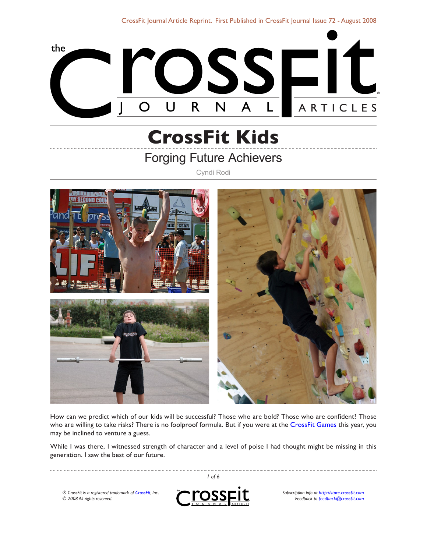CrossFit Journal Article Reprint. First Published in [CrossFit Journal Issue 72 - August 2008](http://journal.crossfit.com/2008/08/)



# **CrossFit Kids**

## Forging Future Achievers

Cyndi Rodi



How can we predict which of our kids will be successful? Those who are bold? Those who are confident? Those who are willing to take risks? There is no foolproof formula. But if you were at the [CrossFit Games](http://games.crossfit.com/) this year, you may be inclined to venture a guess.

While I was there, I witnessed strength of character and a level of poise I had thought might be missing in this generation. I saw the best of our future.

 *of 6* rosspit *® CrossFit is a registered trademark of [CrossFit,](http://www.crossfit.com) Inc. Subscription info at [http://store.crossfit.com](http://journal.crossfit.com) © 2008 All rights reserved. Feedback to [feedback@crossfit.com](mailto:feedback@crossfit.com)*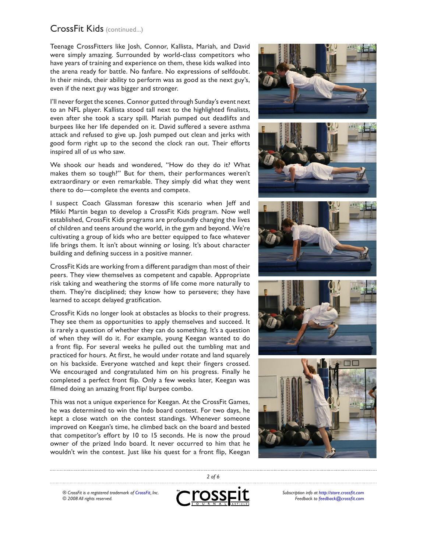Teenage CrossFitters like Josh, Connor, Kallista, Mariah, and David were simply amazing. Surrounded by world-class competitors who have years of training and experience on them, these kids walked into the arena ready for battle. No fanfare. No expressions of selfdoubt. In their minds, their ability to perform was as good as the next guy's, even if the next guy was bigger and stronger.

I'll never forget the scenes. Connor gutted through Sunday's event next to an NFL player. Kallista stood tall next to the highlighted finalists, even after she took a scary spill. Mariah pumped out deadlifts and burpees like her life depended on it. David suffered a severe asthma attack and refused to give up. Josh pumped out clean and jerks with good form right up to the second the clock ran out. Their efforts inspired all of us who saw.

We shook our heads and wondered, "How do they do it? What makes them so tough?" But for them, their performances weren't extraordinary or even remarkable. They simply did what they went there to do—complete the events and compete.

I suspect Coach Glassman foresaw this scenario when Jeff and Mikki Martin began to develop a CrossFit Kids program. Now well established, CrossFit Kids programs are profoundly changing the lives of children and teens around the world, in the gym and beyond. We're cultivating a group of kids who are better equipped to face whatever life brings them. It isn't about winning or losing. It's about character building and defining success in a positive manner.

CrossFit Kids are working from a different paradigm than most of their peers. They view themselves as competent and capable. Appropriate risk taking and weathering the storms of life come more naturally to them. They're disciplined; they know how to persevere; they have learned to accept delayed gratification.

CrossFit Kids no longer look at obstacles as blocks to their progress. They see them as opportunities to apply themselves and succeed. It is rarely a question of whether they can do something. It's a question of when they will do it. For example, young Keegan wanted to do a front flip. For several weeks he pulled out the tumbling mat and practiced for hours. At first, he would under rotate and land squarely on his backside. Everyone watched and kept their fingers crossed. We encouraged and congratulated him on his progress. Finally he completed a perfect front flip. Only a few weeks later, Keegan was filmed doing an amazing front flip/ burpee combo.

This was not a unique experience for Keegan. At the CrossFit Games, he was determined to win the Indo board contest. For two days, he kept a close watch on the contest standings. Whenever someone improved on Keegan's time, he climbed back on the board and bested that competitor's effort by 10 to 15 seconds. He is now the proud owner of the prized Indo board. It never occurred to him that he wouldn't win the contest. Just like his quest for a front flip, Keegan



*® CrossFit is a registered trademark of [CrossFit,](http://www.crossfit.com) Inc. © 2008 All rights reserved.*



 *of 6*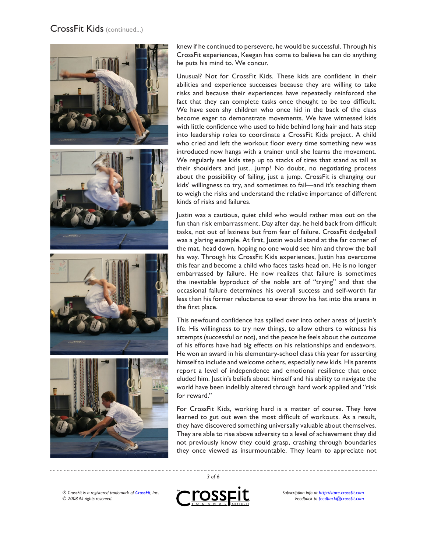

knew if he continued to persevere, he would be successful. Through his CrossFit experiences, Keegan has come to believe he can do anything he puts his mind to. We concur.

Unusual? Not for CrossFit Kids. These kids are confident in their abilities and experience successes because they are willing to take risks and because their experiences have repeatedly reinforced the fact that they can complete tasks once thought to be too difficult. We have seen shy children who once hid in the back of the class become eager to demonstrate movements. We have witnessed kids with little confidence who used to hide behind long hair and hats step into leadership roles to coordinate a CrossFit Kids project. A child who cried and left the workout floor every time something new was introduced now hangs with a trainer until she learns the movement. We regularly see kids step up to stacks of tires that stand as tall as their shoulders and just…jump! No doubt, no negotiating process about the possibility of failing, just a jump. CrossFit is changing our kids' willingness to try, and sometimes to fail—and it's teaching them to weigh the risks and understand the relative importance of different kinds of risks and failures.

Justin was a cautious, quiet child who would rather miss out on the fun than risk embarrassment. Day after day, he held back from difficult tasks, not out of laziness but from fear of failure. CrossFit dodgeball was a glaring example. At first, Justin would stand at the far corner of the mat, head down, hoping no one would see him and throw the ball his way. Through his CrossFit Kids experiences, Justin has overcome this fear and become a child who faces tasks head on. He is no longer embarrassed by failure. He now realizes that failure is sometimes the inevitable byproduct of the noble art of "trying" and that the occasional failure determines his overall success and self-worth far less than his former reluctance to ever throw his hat into the arena in the first place.

This newfound confidence has spilled over into other areas of Justin's life. His willingness to try new things, to allow others to witness his attempts (successful or not), and the peace he feels about the outcome of his efforts have had big effects on his relationships and endeavors. He won an award in his elementary-school class this year for asserting himself to include and welcome others, especially new kids. His parents report a level of independence and emotional resilience that once eluded him. Justin's beliefs about himself and his ability to navigate the world have been indelibly altered through hard work applied and "risk for reward."

For CrossFit Kids, working hard is a matter of course. They have learned to gut out even the most difficult of workouts. As a result, they have discovered something universally valuable about themselves. They are able to rise above adversity to a level of achievement they did not previously know they could grasp, crashing through boundaries they once viewed as insurmountable. They learn to appreciate not

*® CrossFit is a registered trademark of [CrossFit,](http://www.crossfit.com) Inc. © 2008 All rights reserved.*



 *of 6*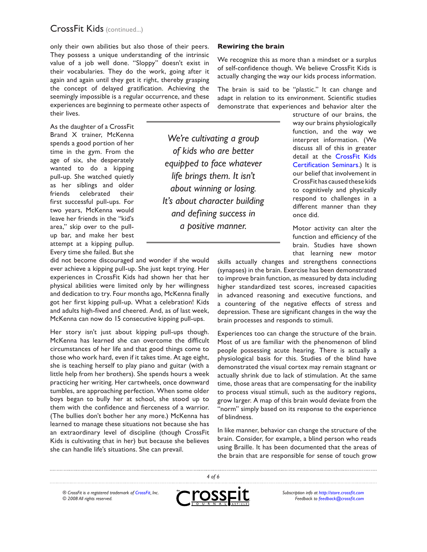only their own abilities but also those of their peers. They possess a unique understanding of the intrinsic value of a job well done. "Sloppy" doesn't exist in their vocabularies. They do the work, going after it again and again until they get it right, thereby grasping the concept of delayed gratification. Achieving the seemingly impossible is a regular occurrence, and these experiences are beginning to permeate other aspects of their lives.

As the daughter of a CrossFit Brand X trainer, McKenna spends a good portion of her time in the gym. From the age of six, she desperately wanted to do a kipping pull-up. She watched quietly as her siblings and older friends celebrated their first successful pull-ups. For two years, McKenna would leave her friends in the "kid's area," skip over to the pullup bar, and make her best attempt at a kipping pullup. Every time she failed. But she

did not become discouraged and wonder if she would ever achieve a kipping pull-up. She just kept trying. Her experiences in CrossFit Kids had shown her that her physical abilities were limited only by her willingness and dedication to try. Four months ago, McKenna finally got her first kipping pull-up. What a celebration! Kids and adults high-fived and cheered. And, as of last week, McKenna can now do 15 consecutive kipping pull-ups.

Her story isn't just about kipping pull-ups though. McKenna has learned she can overcome the difficult circumstances of her life and that good things come to those who work hard, even if it takes time. At age eight, she is teaching herself to play piano and guitar (with a little help from her brothers). She spends hours a week practicing her writing. Her cartwheels, once downward tumbles, are approaching perfection. When some older boys began to bully her at school, she stood up to them with the confidence and fierceness of a warrior. (The bullies don't bother her any more.) McKenna has learned to manage these situations not because she has an extraordinary level of discipline (though CrossFit Kids is cultivating that in her) but because she believes she can handle life's situations. She can prevail.

#### **Rewiring the brain**

We recognize this as more than a mindset or a surplus of self-confidence though. We believe CrossFit Kids is actually changing the way our kids process information.

The brain is said to be "plastic." It can change and adapt in relation to its environment. Scientific studies demonstrate that experiences and behavior alter the

*We're cultivating a group of kids who are better equipped to face whatever life brings them. It isn't about winning or losing. It's about character building and defining success in a positive manner.*

structure of our brains, the way our brains physiologically function, and the way we interpret information. (We discuss all of this in greater detail at the [CrossFit Kids](http://www.crossfit.com/cf-info/specialty_certs.html#kids)  [Certification Seminars](http://www.crossfit.com/cf-info/specialty_certs.html#kids).) It is our belief that involvement in CrossFit has caused these kids to cognitively and physically respond to challenges in a different manner than they once did.

Motor activity can alter the function and efficiency of the brain. Studies have shown that learning new motor

skills actually changes and strengthens connections (synapses) in the brain. Exercise has been demonstrated to improve brain function, as measured by data including higher standardized test scores, increased capacities in advanced reasoning and executive functions, and a countering of the negative effects of stress and depression. These are significant changes in the way the brain processes and responds to stimuli.

Experiences too can change the structure of the brain. Most of us are familiar with the phenomenon of blind people possessing acute hearing. There is actually a physiological basis for this. Studies of the blind have demonstrated the visual cortex may remain stagnant or actually shrink due to lack of stimulation. At the same time, those areas that are compensating for the inability to process visual stimuli, such as the auditory regions, grow larger. A map of this brain would deviate from the "norm" simply based on its response to the experience of blindness.

In like manner, behavior can change the structure of the brain. Consider, for example, a blind person who reads using Braille. It has been documented that the areas of the brain that are responsible for sense of touch grow

*® CrossFit is a registered trademark of [CrossFit,](http://www.crossfit.com) Inc. © 2008 All rights reserved.*



 *of 6*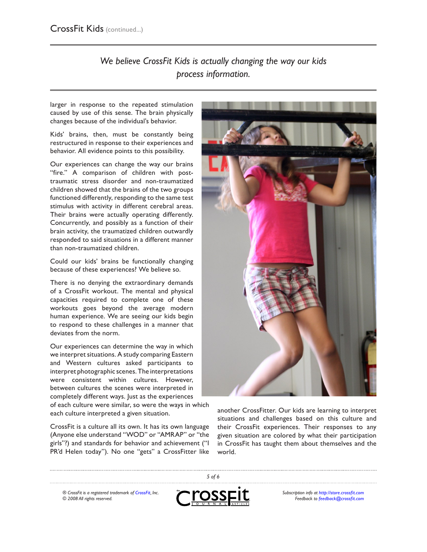### *We believe CrossFit Kids is actually changing the way our kids process information.*

larger in response to the repeated stimulation caused by use of this sense. The brain physically changes because of the individual's behavior.

Kids' brains, then, must be constantly being restructured in response to their experiences and behavior. All evidence points to this possibility.

Our experiences can change the way our brains "fire." A comparison of children with posttraumatic stress disorder and non-traumatized children showed that the brains of the two groups functioned differently, responding to the same test stimulus with activity in different cerebral areas. Their brains were actually operating differently. Concurrently, and possibly as a function of their brain activity, the traumatized children outwardly responded to said situations in a different manner than non-traumatized children.

Could our kids' brains be functionally changing because of these experiences? We believe so.

There is no denying the extraordinary demands of a CrossFit workout. The mental and physical capacities required to complete one of these workouts goes beyond the average modern human experience. We are seeing our kids begin to respond to these challenges in a manner that deviates from the norm.

Our experiences can determine the way in which we interpret situations. A study comparing Eastern and Western cultures asked participants to interpret photographic scenes. The interpretations were consistent within cultures. However, between cultures the scenes were interpreted in completely different ways. Just as the experiences

of each culture were similar, so were the ways in which each culture interpreted a given situation.

CrossFit is a culture all its own. It has its own language (Anyone else understand "WOD" or "AMRAP" or "the girls"?) and standards for behavior and achievement ("I PR'd Helen today"). No one "gets" a CrossFitter like



another CrossFitter. Our kids are learning to interpret situations and challenges based on this culture and their CrossFit experiences. Their responses to any given situation are colored by what their participation in CrossFit has taught them about themselves and the world.

*® CrossFit is a registered trademark of [CrossFit,](http://www.crossfit.com) Inc. © 2008 All rights reserved.*



 *of 6*